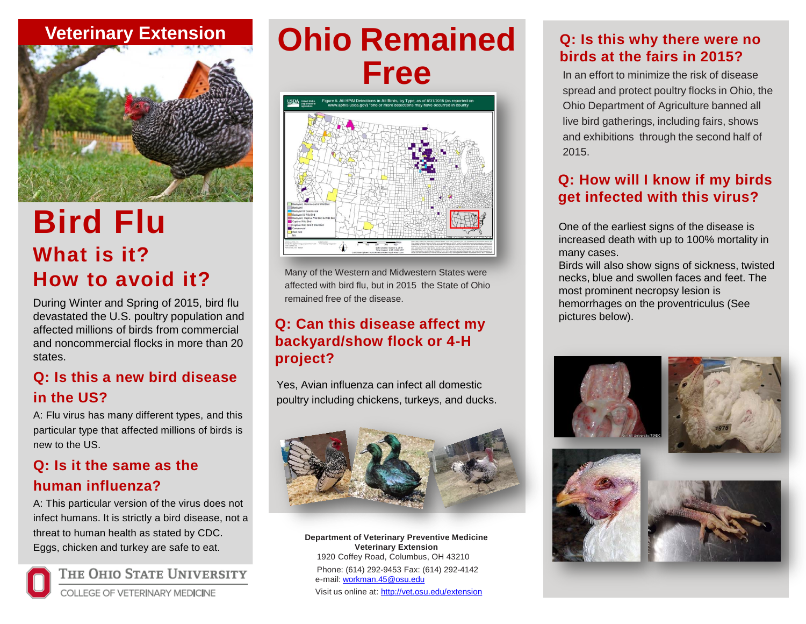## **Veterinary Extension**



# **Bird Flu What is it? How to avoid it?**

During Winter and Spring of 2015, bird flu devastated the U.S. poultry population and affected millions of birds from commercial and noncommercial flocks in more than 20 states.

## **Q: Is this a new bird disease in the US?**

A: Flu virus has many different types, and this particular type that affected millions of birds is new to the US.

### **Q: Is it the same as the human influenza?**

A: This particular version of the virus does not infect humans. It is strictly a bird disease, not a threat to human health as stated by CDC. Eggs, chicken and turkey are safe to eat.



THE OHIO STATE UNIVERSITY

**COLLEGE OF VETERINARY MEDICINE** 

# **Ohio Remained Free** In an effort to minimize the risk of disease



Many of the Western and Midwestern States were affected with bird flu, but in 2015 the State of Ohio remained free of the disease.

### **Q: Can this disease affect my backyard/show flock or 4-H project?**

Yes, Avian influenza can infect all domestic poultry including chickens, turkeys, and ducks.



**Department of Veterinary Preventive Medicine Veterinary Extension** 1920 Coffey Road, Columbus, OH 43210 Phone: (614) 292-9453 Fax: (614) 292-4142 e-mail: [workman.45@osu.edu](mailto:workman.45@osu.edu) Visit us online at:<http://vet.osu.edu/extension>

### **Q: Is this why there were no birds at the fairs in 2015?**

spread and protect poultry flocks in Ohio, the Ohio Department of Agriculture banned all live bird gatherings, including fairs, shows and exhibitions through the second half of 2015.

## **Q: How will I know if my birds get infected with this virus?**

One of the earliest signs of the disease is increased death with up to 100% mortality in many cases.

Birds will also show signs of sickness, twisted necks, blue and swollen faces and feet. The most prominent necropsy lesion is hemorrhages on the proventriculus (See pictures below).